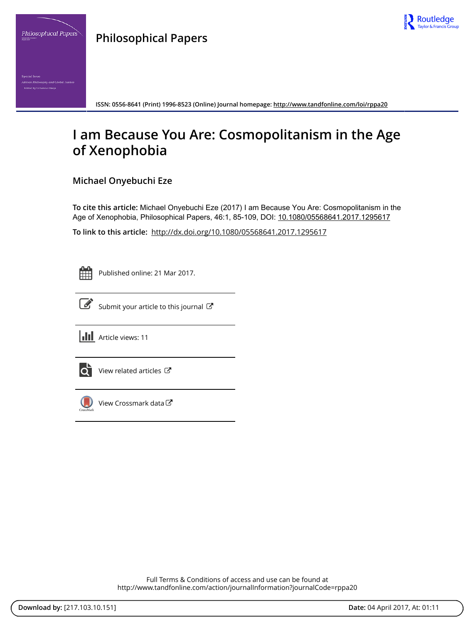

**Philosophical Papers**



# **I am Because You Are: Cosmopolitanism in the Age of Xenophobia**

## **Michael Onyebuchi Eze**

**To cite this article:** Michael Onyebuchi Eze (2017) I am Because You Are: Cosmopolitanism in the Age of Xenophobia, Philosophical Papers, 46:1, 85-109, DOI: [10.1080/05568641.2017.1295617](http://www.tandfonline.com/action/showCitFormats?doi=10.1080/05568641.2017.1295617)

**To link to this article:** <http://dx.doi.org/10.1080/05568641.2017.1295617>

Published online: 21 Mar 2017.



 $\overrightarrow{S}$  [Submit your article to this journal](http://www.tandfonline.com/action/authorSubmission?journalCode=rppa20&show=instructions)  $\overrightarrow{S}$ 





[View related articles](http://www.tandfonline.com/doi/mlt/10.1080/05568641.2017.1295617) C



[View Crossmark data](http://crossmark.crossref.org/dialog/?doi=10.1080/05568641.2017.1295617&domain=pdf&date_stamp=2017-03-21)

Full Terms & Conditions of access and use can be found at <http://www.tandfonline.com/action/journalInformation?journalCode=rppa20> Routledge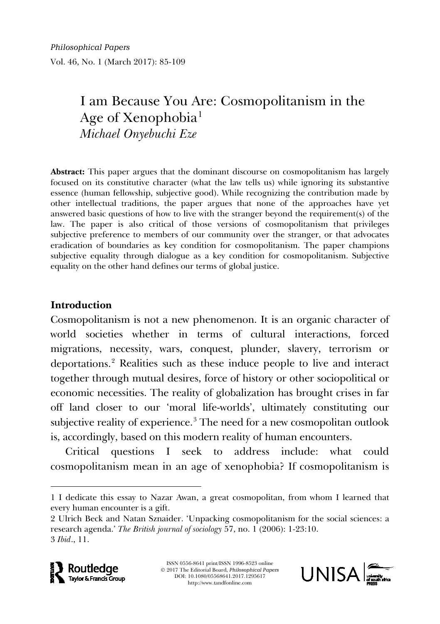# I am Because You Are: Cosmopolitanism in the Age of Xenophobia<sup>[1](#page-1-0)</sup> *Michael Onyebuchi Eze*

**Abstract:** This paper argues that the dominant discourse on cosmopolitanism has largely focused on its constitutive character (what the law tells us) while ignoring its substantive essence (human fellowship, subjective good). While recognizing the contribution made by other intellectual traditions, the paper argues that none of the approaches have yet answered basic questions of how to live with the stranger beyond the requirement(s) of the law. The paper is also critical of those versions of cosmopolitanism that privileges subjective preference to members of our community over the stranger, or that advocates eradication of boundaries as key condition for cosmopolitanism. The paper champions subjective equality through dialogue as a key condition for cosmopolitanism. Subjective equality on the other hand defines our terms of global justice.

## **Introduction**

Cosmopolitanism is not a new phenomenon. It is an organic character of world societies whether in terms of cultural interactions, forced migrations, necessity, wars, conquest, plunder, slavery, terrorism or deportations.[2](#page-1-1) Realities such as these induce people to live and interact together through mutual desires, force of history or other sociopolitical or economic necessities. The reality of globalization has brought crises in far off land closer to our 'moral life-worlds', ultimately constituting our subjective reality of experience.<sup>[3](#page-1-2)</sup> The need for a new cosmopolitan outlook is, accordingly, based on this modern reality of human encounters.

Critical questions I seek to address include: what could cosmopolitanism mean in an age of xenophobia? If cosmopolitanism is

<span id="page-1-2"></span><span id="page-1-1"></span><span id="page-1-0"></span><sup>2</sup> Ulrich Beck and Natan Sznaider. 'Unpacking cosmopolitanism for the social sciences: a research agenda.' *The British journal of sociology* 57, no. 1 (2006): 1-23:10. 3 *Ibid*., 11.





<sup>1</sup> I dedicate this essay to Nazar Awan, a great cosmopolitan, from whom I learned that every human encounter is a gift.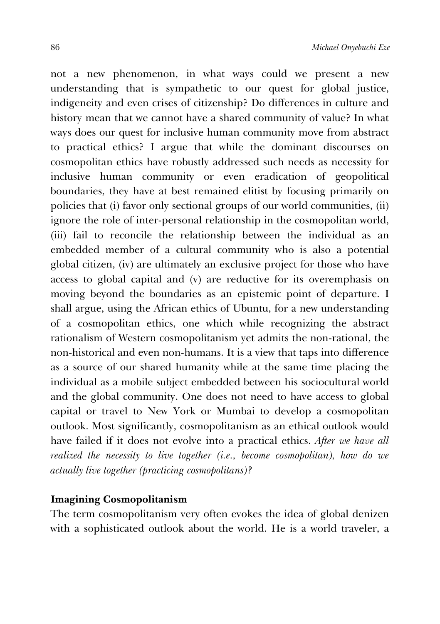not a new phenomenon, in what ways could we present a new understanding that is sympathetic to our quest for global justice, indigeneity and even crises of citizenship? Do differences in culture and history mean that we cannot have a shared community of value? In what ways does our quest for inclusive human community move from abstract to practical ethics? I argue that while the dominant discourses on cosmopolitan ethics have robustly addressed such needs as necessity for inclusive human community or even eradication of geopolitical boundaries, they have at best remained elitist by focusing primarily on policies that (i) favor only sectional groups of our world communities, (ii) ignore the role of inter-personal relationship in the cosmopolitan world, (iii) fail to reconcile the relationship between the individual as an embedded member of a cultural community who is also a potential global citizen, (iv) are ultimately an exclusive project for those who have access to global capital and (v) are reductive for its overemphasis on moving beyond the boundaries as an epistemic point of departure. I shall argue, using the African ethics of Ubuntu, for a new understanding of a cosmopolitan ethics, one which while recognizing the abstract rationalism of Western cosmopolitanism yet admits the non-rational, the non-historical and even non-humans. It is a view that taps into difference as a source of our shared humanity while at the same time placing the individual as a mobile subject embedded between his sociocultural world and the global community. One does not need to have access to global capital or travel to New York or Mumbai to develop a cosmopolitan outlook. Most significantly, cosmopolitanism as an ethical outlook would have failed if it does not evolve into a practical ethics. *After we have all realized the necessity to live together (i.e., become cosmopolitan), how do we actually live together (practicing cosmopolitans)?* 

### **Imagining Cosmopolitanism**

The term cosmopolitanism very often evokes the idea of global denizen with a sophisticated outlook about the world. He is a world traveler, a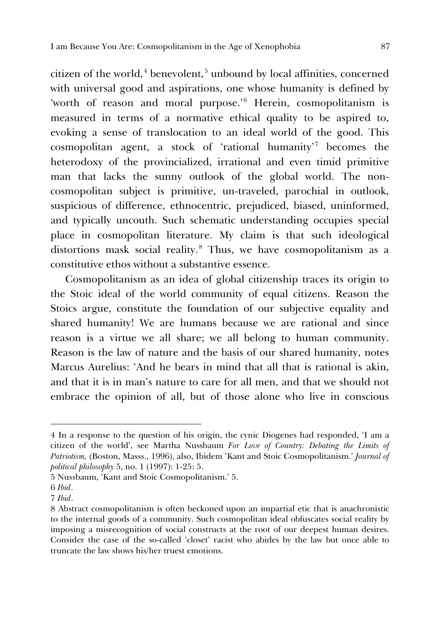citizen of the world, $4$  benevolent, $5$  unbound by local affinities, concerned with universal good and aspirations, one whose humanity is defined by 'worth of reason and moral purpose.' [6](#page-3-2) Herein, cosmopolitanism is measured in terms of a normative ethical quality to be aspired to, evoking a sense of translocation to an ideal world of the good. This cosmopolitan agent, a stock of 'rational humanity' [7](#page-3-3) becomes the heterodoxy of the provincialized, irrational and even timid primitive man that lacks the sunny outlook of the global world. The noncosmopolitan subject is primitive, un-traveled, parochial in outlook, suspicious of difference, ethnocentric, prejudiced, biased, uninformed, and typically uncouth. Such schematic understanding occupies special place in cosmopolitan literature. My claim is that such ideological distortions mask social reality.[8](#page-3-4) Thus, we have cosmopolitanism as a constitutive ethos without a substantive essence.

Cosmopolitanism as an idea of global citizenship traces its origin to the Stoic ideal of the world community of equal citizens. Reason the Stoics argue, constitute the foundation of our subjective equality and shared humanity! We are humans because we are rational and since reason is a virtue we all share; we all belong to human community. Reason is the law of nature and the basis of our shared humanity, notes Marcus Aurelius: 'And he bears in mind that all that is rational is akin, and that it is in man's nature to care for all men, and that we should not embrace the opinion of all, but of those alone who live in conscious

1

<span id="page-3-0"></span><sup>4</sup> In a response to the question of his origin, the cynic Diogenes had responded, 'I am a citizen of the world', see Martha Nussbaum *For Love of Country: Debating the Limits of Patriotism,* (Boston, Masss., 1996), also, Ibidem 'Kant and Stoic Cosmopolitanism.' *Journal of political philosophy* 5, no. 1 (1997): 1-25: 5.

<span id="page-3-1"></span><sup>5</sup> Nussbaum, 'Kant and Stoic Cosmopolitanism.' 5.

<span id="page-3-2"></span><sup>6</sup> *Ibid*.

<span id="page-3-3"></span><sup>7</sup> *Ibid*.

<span id="page-3-4"></span><sup>8</sup> Abstract cosmopolitanism is often beckoned upon an impartial etic that is anachronistic to the internal goods of a community. Such cosmopolitan ideal obfuscates social reality by imposing a misrecognition of social constructs at the root of our deepest human desires. Consider the case of the so-called 'closet' racist who abides by the law but once able to truncate the law shows his/her truest emotions.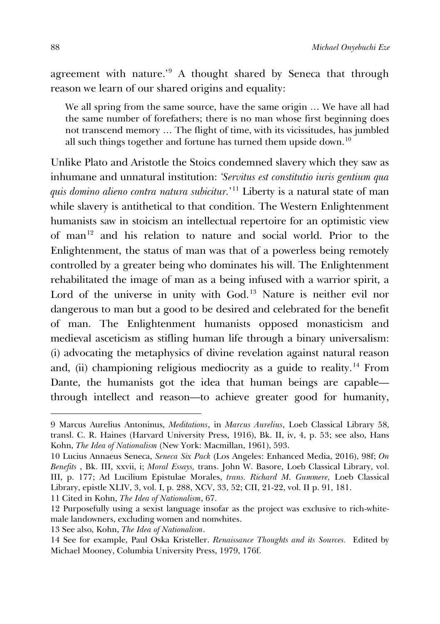agreement with nature.' [9](#page-4-0) A thought shared by Seneca that through reason we learn of our shared origins and equality:

We all spring from the same source, have the same origin … We have all had the same number of forefathers; there is no man whose first beginning does not transcend memory … The flight of time, with its vicissitudes, has jumbled all such things together and fortune has turned them upside down.<sup>[10](#page-4-1)</sup>

Unlike Plato and Aristotle the Stoics condemned slavery which they saw as inhumane and unnatural institution: *'Servitus est constitutio iuris gentium qua quis domino alieno contra natura subicitur.*' [11](#page-4-2) Liberty is a natural state of man while slavery is antithetical to that condition. The Western Enlightenment humanists saw in stoicism an intellectual repertoire for an optimistic view of man[12](#page-4-3) and his relation to nature and social world. Prior to the Enlightenment, the status of man was that of a powerless being remotely controlled by a greater being who dominates his will. The Enlightenment rehabilitated the image of man as a being infused with a warrior spirit, a Lord of the universe in unity with God.<sup>[13](#page-4-4)</sup> Nature is neither evil nor dangerous to man but a good to be desired and celebrated for the benefit of man. The Enlightenment humanists opposed monasticism and medieval asceticism as stifling human life through a binary universalism: (i) advocating the metaphysics of divine revelation against natural reason and, (ii) championing religious mediocrity as a guide to reality.<sup>[14](#page-4-5)</sup> From Dante, the humanists got the idea that human beings are capable through intellect and reason—to achieve greater good for humanity,

<span id="page-4-2"></span>11 Cited in Kohn, *The Idea of Nationalism*, 67.

<span id="page-4-0"></span><sup>9</sup> Marcus Aurelius Antoninus, *Meditations*, in *Marcus Aurelius*, Loeb Classical Library 58, transl. C. R. Haines (Harvard University Press, 1916), Bk. II, iv, 4, p. 53; see also, Hans Kohn, *The Idea of Nationalism* (New York: Macmillan, 1961), 593.

<span id="page-4-1"></span><sup>10</sup> Lucius Annaeus Seneca, *Seneca Six Pack* (Los Angeles: Enhanced Media, 2016), 98f; *On Benefits* , Bk. III, xxvii, i; *Moral Essays,* trans. John W. Basore, Loeb Classical Library, vol. III, p. 177; Ad Lucilium Epistulae Morales, *trans. Richard M. Gummere,* Loeb Classical Library, epistle XLIV, 3, vol. I, p. 288, XCV, 33, 52; CII, 21-22, vol. II p. 91, 181.

<span id="page-4-3"></span><sup>12</sup> Purposefully using a sexist language insofar as the project was exclusive to rich-whitemale landowners, excluding women and nonwhites.

<span id="page-4-4"></span><sup>13</sup> See also, Kohn, *The Idea of Nationalism*.

<span id="page-4-5"></span><sup>14</sup> See for example, Paul Oska Kristeller. *Renaissance Thoughts and its Sources.* Edited by Michael Mooney, Columbia University Press, 1979, 176f.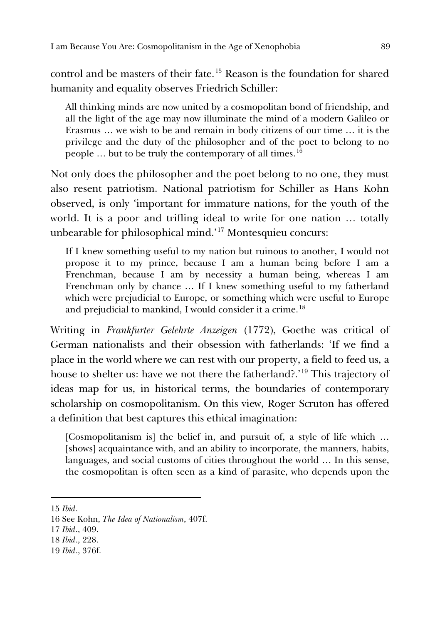control and be masters of their fate. [15](#page-5-0) Reason is the foundation for shared humanity and equality observes Friedrich Schiller:

All thinking minds are now united by a cosmopolitan bond of friendship, and all the light of the age may now illuminate the mind of a modern Galileo or Erasmus … we wish to be and remain in body citizens of our time … it is the privilege and the duty of the philosopher and of the poet to belong to no people  $\ldots$  but to be truly the contemporary of all times.<sup>[16](#page-5-1)</sup>

Not only does the philosopher and the poet belong to no one, they must also resent patriotism. National patriotism for Schiller as Hans Kohn observed, is only 'important for immature nations, for the youth of the world. It is a poor and trifling ideal to write for one nation … totally unbearable for philosophical mind.' [17](#page-5-2) Montesquieu concurs:

If I knew something useful to my nation but ruinous to another, I would not propose it to my prince, because I am a human being before I am a Frenchman, because I am by necessity a human being, whereas I am Frenchman only by chance … If I knew something useful to my fatherland which were prejudicial to Europe, or something which were useful to Europe and prejudicial to mankind, I would consider it a crime.<sup>[18](#page-5-3)</sup>

Writing in *Frankfurter Gelehrte Anzeigen* (1772), Goethe was critical of German nationalists and their obsession with fatherlands: 'If we find a place in the world where we can rest with our property, a field to feed us, a house to shelter us: have we not there the fatherland?.' [19](#page-5-4) This trajectory of ideas map for us, in historical terms, the boundaries of contemporary scholarship on cosmopolitanism. On this view, Roger Scruton has offered a definition that best captures this ethical imagination:

[Cosmopolitanism is] the belief in, and pursuit of, a style of life which … [shows] acquaintance with, and an ability to incorporate, the manners, habits, languages, and social customs of cities throughout the world … In this sense, the cosmopolitan is often seen as a kind of parasite, who depends upon the

<span id="page-5-0"></span><sup>15</sup> *Ibid*.

<span id="page-5-1"></span><sup>16</sup> See Kohn, *The Idea of Nationalism*, 407f.

<span id="page-5-2"></span><sup>17</sup> *Ibid*., 409.

<span id="page-5-3"></span><sup>18</sup> *Ibid*., 228.

<span id="page-5-4"></span><sup>19</sup> *Ibid*., 376f.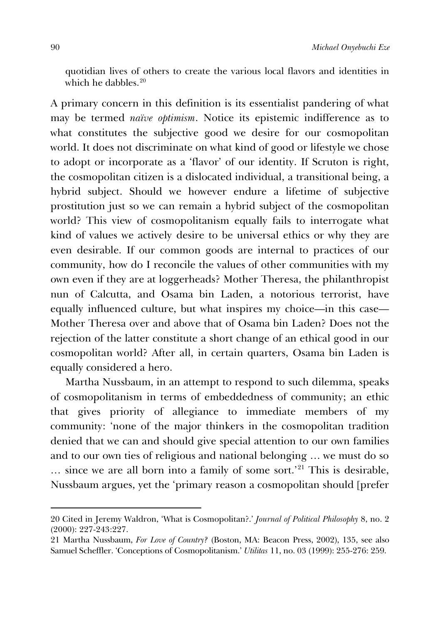quotidian lives of others to create the various local flavors and identities in which he dabbles.<sup>[20](#page-6-0)</sup>

A primary concern in this definition is its essentialist pandering of what may be termed *naïve optimism*. Notice its epistemic indifference as to what constitutes the subjective good we desire for our cosmopolitan world. It does not discriminate on what kind of good or lifestyle we chose to adopt or incorporate as a 'flavor' of our identity. If Scruton is right, the cosmopolitan citizen is a dislocated individual, a transitional being, a hybrid subject. Should we however endure a lifetime of subjective prostitution just so we can remain a hybrid subject of the cosmopolitan world? This view of cosmopolitanism equally fails to interrogate what kind of values we actively desire to be universal ethics or why they are even desirable. If our common goods are internal to practices of our community, how do I reconcile the values of other communities with my own even if they are at loggerheads? Mother Theresa, the philanthropist nun of Calcutta, and Osama bin Laden, a notorious terrorist, have equally influenced culture, but what inspires my choice—in this case— Mother Theresa over and above that of Osama bin Laden? Does not the rejection of the latter constitute a short change of an ethical good in our cosmopolitan world? After all, in certain quarters, Osama bin Laden is equally considered a hero.

Martha Nussbaum, in an attempt to respond to such dilemma, speaks of cosmopolitanism in terms of embeddedness of community; an ethic that gives priority of allegiance to immediate members of my community: 'none of the major thinkers in the cosmopolitan tradition denied that we can and should give special attention to our own families and to our own ties of religious and national belonging … we must do so … since we are all born into a family of some sort.' [21](#page-6-1) This is desirable, Nussbaum argues, yet the 'primary reason a cosmopolitan should [prefer

<span id="page-6-0"></span><sup>20</sup> Cited in Jeremy Waldron, 'What is Cosmopolitan?.' *Journal of Political Philosophy* 8, no. 2 (2000): 227-243:227.

<span id="page-6-1"></span><sup>21</sup> Martha Nussbaum, *For Love of Country?* (Boston, MA: Beacon Press, 2002), 135, see also Samuel Scheffler. 'Conceptions of Cosmopolitanism.' *Utilitas* 11, no. 03 (1999): 255-276: 259.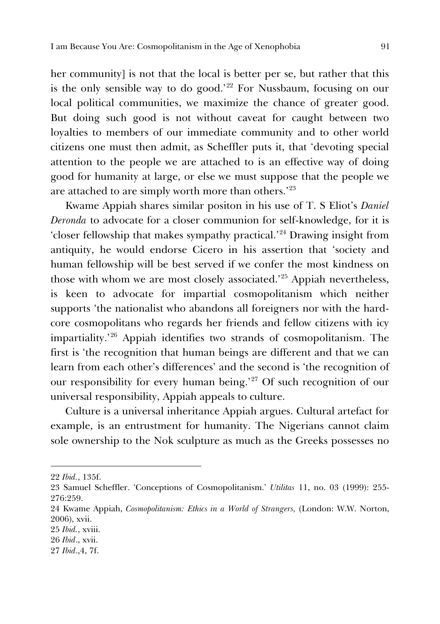her community] is not that the local is better per se, but rather that this is the only sensible way to do good.' [22](#page-7-0) For Nussbaum, focusing on our local political communities, we maximize the chance of greater good. But doing such good is not without caveat for caught between two loyalties to members of our immediate community and to other world citizens one must then admit, as Scheffler puts it, that 'devoting special attention to the people we are attached to is an effective way of doing good for humanity at large, or else we must suppose that the people we are attached to are simply worth more than others.' $^{23}$  $^{23}$  $^{23}$ 

Kwame Appiah shares similar positon in his use of T. S Eliot's *Daniel Deronda* to advocate for a closer communion for self-knowledge, for it is 'closer fellowship that makes sympathy practical.' [24](#page-7-2) Drawing insight from antiquity, he would endorse Cicero in his assertion that 'society and human fellowship will be best served if we confer the most kindness on those with whom we are most closely associated.' [25](#page-7-3) Appiah nevertheless, is keen to advocate for impartial cosmopolitanism which neither supports 'the nationalist who abandons all foreigners nor with the hardcore cosmopolitans who regards her friends and fellow citizens with icy impartiality.' [26](#page-7-4) Appiah identifies two strands of cosmopolitanism. The first is 'the recognition that human beings are different and that we can learn from each other's differences' and the second is 'the recognition of our responsibility for every human being.' [27](#page-7-5) Of such recognition of our universal responsibility, Appiah appeals to culture.

Culture is a universal inheritance Appiah argues. Cultural artefact for example, is an entrustment for humanity. The Nigerians cannot claim sole ownership to the Nok sculpture as much as the Greeks possesses no

<span id="page-7-0"></span><sup>22</sup> *Ibid.*, 135f.

<span id="page-7-1"></span><sup>23</sup> Samuel Scheffler. 'Conceptions of Cosmopolitanism.' *Utilitas* 11, no. 03 (1999): 255- 276:259.

<span id="page-7-2"></span><sup>24</sup> Kwame Appiah, *Cosmopolitanism: Ethics in a World of Strangers,* (London: W.W. Norton, 2006), xvii.

<span id="page-7-3"></span><sup>25</sup> *Ibid.*, xviii.

<span id="page-7-4"></span><sup>26</sup> *Ibid*., xvii.

<span id="page-7-5"></span><sup>27</sup> *Ibid*.,4, 7f.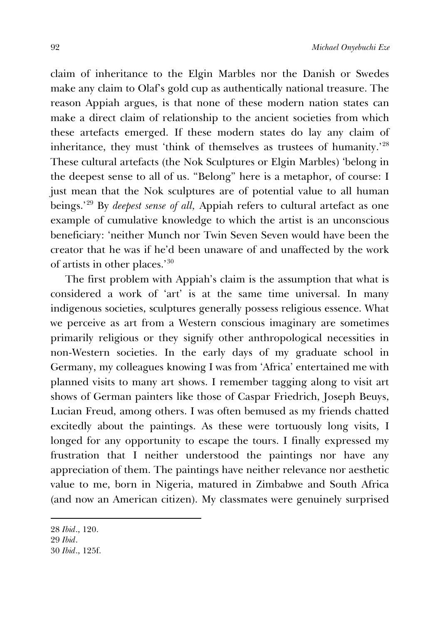claim of inheritance to the Elgin Marbles nor the Danish or Swedes make any claim to Olaf's gold cup as authentically national treasure. The reason Appiah argues, is that none of these modern nation states can make a direct claim of relationship to the ancient societies from which these artefacts emerged. If these modern states do lay any claim of inheritance, they must 'think of themselves as trustees of humanity.' [28](#page-8-0) These cultural artefacts (the Nok Sculptures or Elgin Marbles) 'belong in the deepest sense to all of us. "Belong" here is a metaphor, of course: I just mean that the Nok sculptures are of potential value to all human beings.' [29](#page-8-1) By *deepest sense of all,* Appiah refers to cultural artefact as one example of cumulative knowledge to which the artist is an unconscious beneficiary: 'neither Munch nor Twin Seven Seven would have been the creator that he was if he'd been unaware of and unaffected by the work of artists in other places.' [30](#page-8-2)

The first problem with Appiah's claim is the assumption that what is considered a work of 'art' is at the same time universal. In many indigenous societies, sculptures generally possess religious essence. What we perceive as art from a Western conscious imaginary are sometimes primarily religious or they signify other anthropological necessities in non-Western societies. In the early days of my graduate school in Germany, my colleagues knowing I was from 'Africa' entertained me with planned visits to many art shows. I remember tagging along to visit art shows of German painters like those of Caspar Friedrich, Joseph Beuys, Lucian Freud, among others. I was often bemused as my friends chatted excitedly about the paintings. As these were tortuously long visits, I longed for any opportunity to escape the tours. I finally expressed my frustration that I neither understood the paintings nor have any appreciation of them. The paintings have neither relevance nor aesthetic value to me, born in Nigeria, matured in Zimbabwe and South Africa (and now an American citizen). My classmates were genuinely surprised

<span id="page-8-2"></span><span id="page-8-1"></span><span id="page-8-0"></span><sup>28</sup> *Ibid*., 120. 29 *Ibid*. 30 *Ibid*., 125f.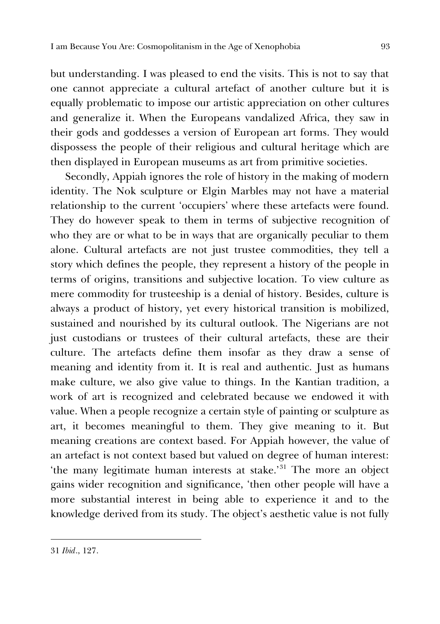but understanding. I was pleased to end the visits. This is not to say that one cannot appreciate a cultural artefact of another culture but it is equally problematic to impose our artistic appreciation on other cultures and generalize it. When the Europeans vandalized Africa, they saw in their gods and goddesses a version of European art forms. They would dispossess the people of their religious and cultural heritage which are then displayed in European museums as art from primitive societies.

Secondly, Appiah ignores the role of history in the making of modern identity. The Nok sculpture or Elgin Marbles may not have a material relationship to the current 'occupiers' where these artefacts were found. They do however speak to them in terms of subjective recognition of who they are or what to be in ways that are organically peculiar to them alone. Cultural artefacts are not just trustee commodities, they tell a story which defines the people, they represent a history of the people in terms of origins, transitions and subjective location. To view culture as mere commodity for trusteeship is a denial of history. Besides, culture is always a product of history, yet every historical transition is mobilized, sustained and nourished by its cultural outlook. The Nigerians are not just custodians or trustees of their cultural artefacts, these are their culture. The artefacts define them insofar as they draw a sense of meaning and identity from it. It is real and authentic. Just as humans make culture, we also give value to things. In the Kantian tradition, a work of art is recognized and celebrated because we endowed it with value. When a people recognize a certain style of painting or sculpture as art, it becomes meaningful to them. They give meaning to it. But meaning creations are context based. For Appiah however, the value of an artefact is not context based but valued on degree of human interest: the many legitimate human interests at stake.<sup>[31](#page-9-0)</sup> The more an object gains wider recognition and significance, 'then other people will have a more substantial interest in being able to experience it and to the knowledge derived from its study. The object's aesthetic value is not fully

<span id="page-9-0"></span><sup>31</sup> *Ibid*., 127.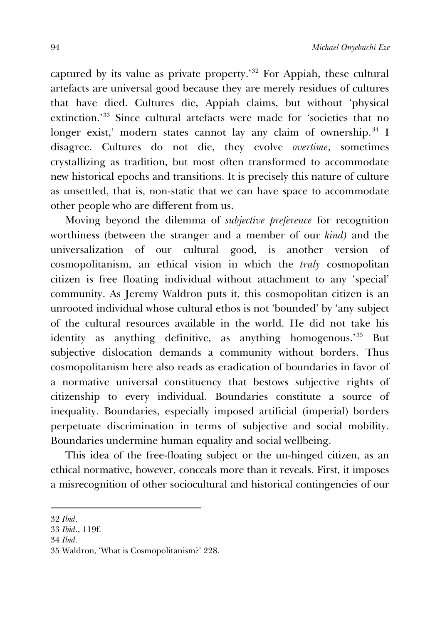captured by its value as private property.' [32](#page-10-0) For Appiah, these cultural artefacts are universal good because they are merely residues of cultures that have died. Cultures die, Appiah claims, but without 'physical extinction.' [33](#page-10-1) Since cultural artefacts were made for 'societies that no longer exist,' modern states cannot lay any claim of ownership.<sup>[34](#page-10-2)</sup> I disagree. Cultures do not die, they evolve *overtime*, sometimes crystallizing as tradition, but most often transformed to accommodate new historical epochs and transitions. It is precisely this nature of culture as unsettled, that is, non-static that we can have space to accommodate other people who are different from us.

Moving beyond the dilemma of *subjective preference* for recognition worthiness (between the stranger and a member of our *kind)* and the universalization of our cultural good, is another version of cosmopolitanism, an ethical vision in which the *truly* cosmopolitan citizen is free floating individual without attachment to any 'special' community. As Jeremy Waldron puts it, this cosmopolitan citizen is an unrooted individual whose cultural ethos is not 'bounded' by 'any subject of the cultural resources available in the world. He did not take his identity as anything definitive, as anything homogenous.' [35](#page-10-3) But subjective dislocation demands a community without borders. Thus cosmopolitanism here also reads as eradication of boundaries in favor of a normative universal constituency that bestows subjective rights of citizenship to every individual. Boundaries constitute a source of inequality. Boundaries, especially imposed artificial (imperial) borders perpetuate discrimination in terms of subjective and social mobility. Boundaries undermine human equality and social wellbeing.

This idea of the free-floating subject or the un-hinged citizen, as an ethical normative, however, conceals more than it reveals. First, it imposes a misrecognition of other sociocultural and historical contingencies of our

-

<span id="page-10-2"></span>34 *Ibid*.

<span id="page-10-0"></span><sup>32</sup> *Ibid*.

<span id="page-10-1"></span><sup>33</sup> *Ibid*., 119f.

<span id="page-10-3"></span><sup>35</sup> Waldron, 'What is Cosmopolitanism?' 228.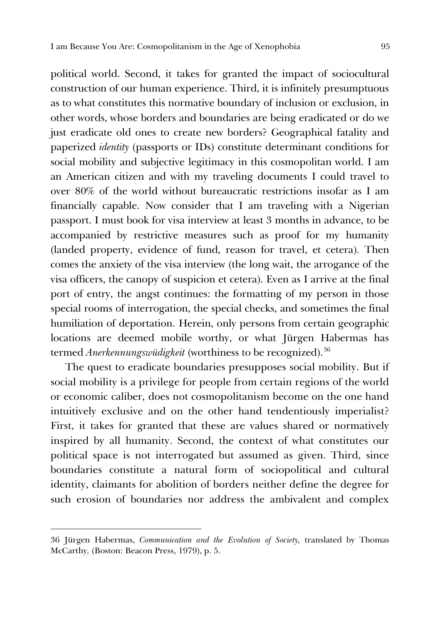political world. Second, it takes for granted the impact of sociocultural construction of our human experience. Third, it is infinitely presumptuous as to what constitutes this normative boundary of inclusion or exclusion, in other words, whose borders and boundaries are being eradicated or do we just eradicate old ones to create new borders? Geographical fatality and paperized *identity* (passports or IDs) constitute determinant conditions for social mobility and subjective legitimacy in this cosmopolitan world. I am an American citizen and with my traveling documents I could travel to over 80% of the world without bureaucratic restrictions insofar as I am financially capable. Now consider that I am traveling with a Nigerian passport. I must book for visa interview at least 3 months in advance, to be accompanied by restrictive measures such as proof for my humanity (landed property, evidence of fund, reason for travel, et cetera). Then comes the anxiety of the visa interview (the long wait, the arrogance of the visa officers, the canopy of suspicion et cetera). Even as I arrive at the final port of entry, the angst continues: the formatting of my person in those special rooms of interrogation, the special checks, and sometimes the final humiliation of deportation. Herein, only persons from certain geographic locations are deemed mobile worthy, or what Jürgen Habermas has termed *Anerkennungswüdigkeit* (worthiness to be recognized).<sup>[36](#page-11-0)</sup>

The quest to eradicate boundaries presupposes social mobility. But if social mobility is a privilege for people from certain regions of the world or economic caliber, does not cosmopolitanism become on the one hand intuitively exclusive and on the other hand tendentiously imperialist? First, it takes for granted that these are values shared or normatively inspired by all humanity. Second, the context of what constitutes our political space is not interrogated but assumed as given. Third, since boundaries constitute a natural form of sociopolitical and cultural identity, claimants for abolition of borders neither define the degree for such erosion of boundaries nor address the ambivalent and complex

<span id="page-11-0"></span><sup>36</sup> Jürgen Habermas, *Communication and the Evolution of Society,* translated by Thomas McCarthy*,* (Boston: Beacon Press, 1979), p. 5.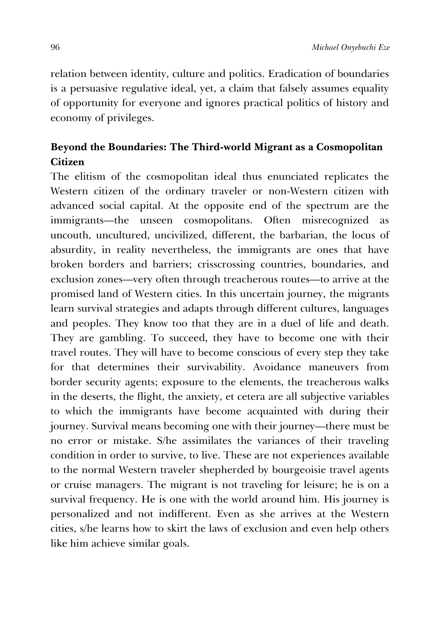relation between identity, culture and politics. Eradication of boundaries is a persuasive regulative ideal, yet, a claim that falsely assumes equality of opportunity for everyone and ignores practical politics of history and economy of privileges.

## **Beyond the Boundaries: The Third-world Migrant as a Cosmopolitan Citizen**

The elitism of the cosmopolitan ideal thus enunciated replicates the Western citizen of the ordinary traveler or non-Western citizen with advanced social capital. At the opposite end of the spectrum are the immigrants—the unseen cosmopolitans. Often misrecognized as uncouth, uncultured, uncivilized, different, the barbarian, the locus of absurdity, in reality nevertheless, the immigrants are ones that have broken borders and barriers; crisscrossing countries, boundaries, and exclusion zones—very often through treacherous routes—to arrive at the promised land of Western cities. In this uncertain journey, the migrants learn survival strategies and adapts through different cultures, languages and peoples. They know too that they are in a duel of life and death. They are gambling. To succeed, they have to become one with their travel routes. They will have to become conscious of every step they take for that determines their survivability. Avoidance maneuvers from border security agents; exposure to the elements, the treacherous walks in the deserts, the flight, the anxiety, et cetera are all subjective variables to which the immigrants have become acquainted with during their journey. Survival means becoming one with their journey—there must be no error or mistake. S/he assimilates the variances of their traveling condition in order to survive, to live. These are not experiences available to the normal Western traveler shepherded by bourgeoisie travel agents or cruise managers. The migrant is not traveling for leisure; he is on a survival frequency. He is one with the world around him. His journey is personalized and not indifferent. Even as she arrives at the Western cities, s/he learns how to skirt the laws of exclusion and even help others like him achieve similar goals.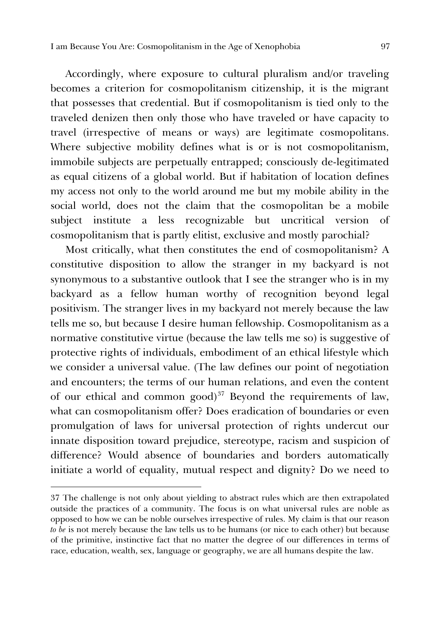Accordingly, where exposure to cultural pluralism and/or traveling becomes a criterion for cosmopolitanism citizenship, it is the migrant that possesses that credential. But if cosmopolitanism is tied only to the traveled denizen then only those who have traveled or have capacity to travel (irrespective of means or ways) are legitimate cosmopolitans. Where subjective mobility defines what is or is not cosmopolitanism, immobile subjects are perpetually entrapped; consciously de-legitimated as equal citizens of a global world. But if habitation of location defines my access not only to the world around me but my mobile ability in the social world, does not the claim that the cosmopolitan be a mobile subject institute a less recognizable but uncritical version of cosmopolitanism that is partly elitist, exclusive and mostly parochial?

Most critically, what then constitutes the end of cosmopolitanism? A constitutive disposition to allow the stranger in my backyard is not synonymous to a substantive outlook that I see the stranger who is in my backyard as a fellow human worthy of recognition beyond legal positivism. The stranger lives in my backyard not merely because the law tells me so, but because I desire human fellowship. Cosmopolitanism as a normative constitutive virtue (because the law tells me so) is suggestive of protective rights of individuals, embodiment of an ethical lifestyle which we consider a universal value. (The law defines our point of negotiation and encounters; the terms of our human relations, and even the content of our ethical and common good)<sup>[37](#page-13-0)</sup> Beyond the requirements of law, what can cosmopolitanism offer? Does eradication of boundaries or even promulgation of laws for universal protection of rights undercut our innate disposition toward prejudice, stereotype, racism and suspicion of difference? Would absence of boundaries and borders automatically initiate a world of equality, mutual respect and dignity? Do we need to

<span id="page-13-0"></span><sup>37</sup> The challenge is not only about yielding to abstract rules which are then extrapolated outside the practices of a community. The focus is on what universal rules are noble as opposed to how we can be noble ourselves irrespective of rules. My claim is that our reason *to be* is not merely because the law tells us to be humans (or nice to each other) but because of the primitive, instinctive fact that no matter the degree of our differences in terms of race, education, wealth, sex, language or geography, we are all humans despite the law.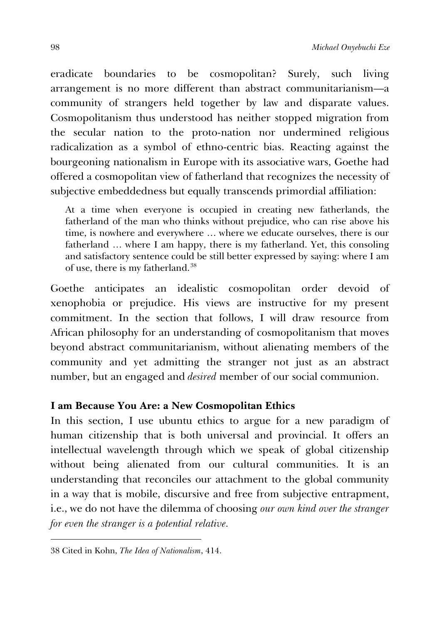eradicate boundaries to be cosmopolitan? Surely, such living arrangement is no more different than abstract communitarianism—a community of strangers held together by law and disparate values. Cosmopolitanism thus understood has neither stopped migration from the secular nation to the proto-nation nor undermined religious radicalization as a symbol of ethno-centric bias. Reacting against the bourgeoning nationalism in Europe with its associative wars, Goethe had offered a cosmopolitan view of fatherland that recognizes the necessity of subjective embeddedness but equally transcends primordial affiliation:

At a time when everyone is occupied in creating new fatherlands, the fatherland of the man who thinks without prejudice, who can rise above his time, is nowhere and everywhere … where we educate ourselves, there is our fatherland … where I am happy, there is my fatherland. Yet, this consoling and satisfactory sentence could be still better expressed by saying: where I am of use, there is my fatherland.[38](#page-14-0)

Goethe anticipates an idealistic cosmopolitan order devoid of xenophobia or prejudice. His views are instructive for my present commitment. In the section that follows, I will draw resource from African philosophy for an understanding of cosmopolitanism that moves beyond abstract communitarianism, without alienating members of the community and yet admitting the stranger not just as an abstract number, but an engaged and *desired* member of our social communion.

## **I am Because You Are: a New Cosmopolitan Ethics**

In this section, I use ubuntu ethics to argue for a new paradigm of human citizenship that is both universal and provincial. It offers an intellectual wavelength through which we speak of global citizenship without being alienated from our cultural communities. It is an understanding that reconciles our attachment to the global community in a way that is mobile, discursive and free from subjective entrapment, i.e., we do not have the dilemma of choosing *our own kind over the stranger for even the stranger is a potential relative.* 

<span id="page-14-0"></span><sup>38</sup> Cited in Kohn, *The Idea of Nationalism*, 414.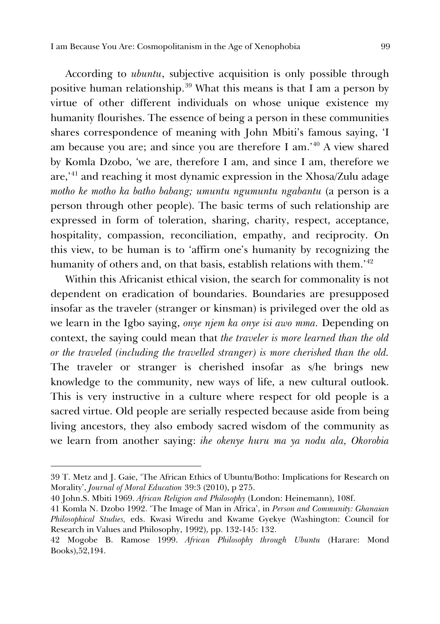According to *ubuntu*, subjective acquisition is only possible through positive human relationship.<sup>[39](#page-15-0)</sup> What this means is that I am a person by virtue of other different individuals on whose unique existence my humanity flourishes. The essence of being a person in these communities shares correspondence of meaning with John Mbiti's famous saying, 'I am because you are; and since you are therefore I am.' [40](#page-15-1) A view shared by Komla Dzobo, 'we are, therefore I am, and since I am, therefore we are,' [41](#page-15-2) and reaching it most dynamic expression in the Xhosa/Zulu adage *motho ke motho ka batho babang; umuntu ngumuntu ngabantu* (a person is a person through other people). The basic terms of such relationship are expressed in form of toleration, sharing, charity, respect, acceptance, hospitality, compassion, reconciliation, empathy, and reciprocity. On this view, to be human is to 'affirm one's humanity by recognizing the humanity of others and, on that basis, establish relations with them.' [42](#page-15-3)

Within this Africanist ethical vision, the search for commonality is not dependent on eradication of boundaries. Boundaries are presupposed insofar as the traveler (stranger or kinsman) is privileged over the old as we learn in the Igbo saying, *onye njem ka onye isi awo mma.* Depending on context, the saying could mean that *the traveler is more learned than the old or the traveled (including the travelled stranger) is more cherished than the old.*  The traveler or stranger is cherished insofar as s/he brings new knowledge to the community, new ways of life, a new cultural outlook. This is very instructive in a culture where respect for old people is a sacred virtue. Old people are serially respected because aside from being living ancestors, they also embody sacred wisdom of the community as we learn from another saying: *ihe okenye huru ma ya nodu ala, Okorobia* 

<span id="page-15-0"></span><sup>39</sup> T. Metz and J. Gaie, 'The African Ethics of Ubuntu/Botho: Implications for Research on Morality', *Journal of Moral Education* 39:3 (2010), p 275.

<span id="page-15-1"></span><sup>40</sup> John.S. Mbiti 1969. *African Religion and Philosophy* (London: Heinemann), 108f.

<span id="page-15-2"></span><sup>41</sup> Komla N. Dzobo 1992. 'The Image of Man in Africa', in *Person and Community: Ghanaian Philosophical Studies,* eds. Kwasi Wiredu and Kwame Gyekye (Washington: Council for Research in Values and Philosophy, 1992), pp. 132-145: 132.

<span id="page-15-3"></span><sup>42</sup> Mogobe B. Ramose 1999. *African Philosophy through Ubuntu* (Harare: Mond Books),52,194.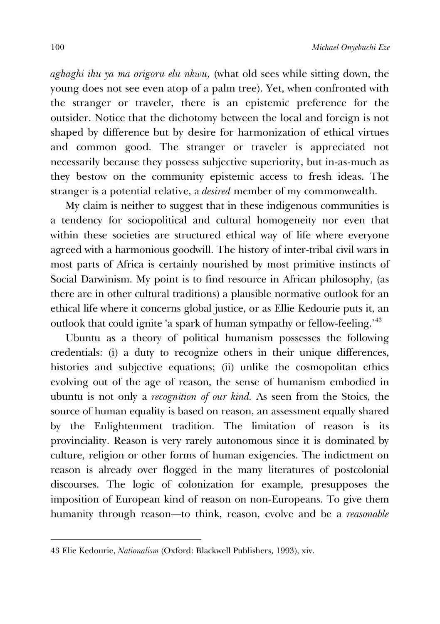*aghaghi ihu ya ma origoru elu nkwu,* (what old sees while sitting down, the young does not see even atop of a palm tree). Yet, when confronted with the stranger or traveler, there is an epistemic preference for the outsider. Notice that the dichotomy between the local and foreign is not shaped by difference but by desire for harmonization of ethical virtues and common good. The stranger or traveler is appreciated not necessarily because they possess subjective superiority, but in-as-much as they bestow on the community epistemic access to fresh ideas. The stranger is a potential relative, a *desired* member of my commonwealth.

My claim is neither to suggest that in these indigenous communities is a tendency for sociopolitical and cultural homogeneity nor even that within these societies are structured ethical way of life where everyone agreed with a harmonious goodwill. The history of inter-tribal civil wars in most parts of Africa is certainly nourished by most primitive instincts of Social Darwinism. My point is to find resource in African philosophy, (as there are in other cultural traditions) a plausible normative outlook for an ethical life where it concerns global justice, or as Ellie Kedourie puts it, an outlook that could ignite 'a spark of human sympathy or fellow-feeling.' [43](#page-16-0)

Ubuntu as a theory of political humanism possesses the following credentials: (i) a duty to recognize others in their unique differences, histories and subjective equations; (ii) unlike the cosmopolitan ethics evolving out of the age of reason, the sense of humanism embodied in ubuntu is not only a *recognition of our kind.* As seen from the Stoics, the source of human equality is based on reason, an assessment equally shared by the Enlightenment tradition. The limitation of reason is its provinciality. Reason is very rarely autonomous since it is dominated by culture, religion or other forms of human exigencies. The indictment on reason is already over flogged in the many literatures of postcolonial discourses. The logic of colonization for example, presupposes the imposition of European kind of reason on non-Europeans. To give them humanity through reason—to think, reason, evolve and be a *reasonable*

<span id="page-16-0"></span><sup>43</sup> Elie Kedourie, *Nationalism* (Oxford: Blackwell Publishers, 1993), xiv.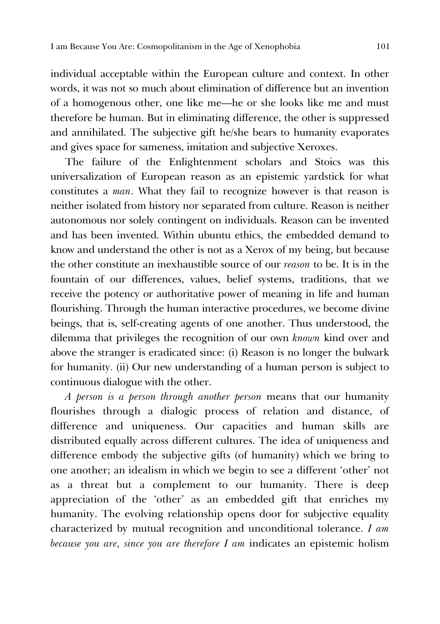individual acceptable within the European culture and context. In other words, it was not so much about elimination of difference but an invention of a homogenous other, one like me—he or she looks like me and must therefore be human. But in eliminating difference, the other is suppressed and annihilated. The subjective gift he/she bears to humanity evaporates and gives space for sameness, imitation and subjective Xeroxes.

The failure of the Enlightenment scholars and Stoics was this universalization of European reason as an epistemic yardstick for what constitutes a *man*. What they fail to recognize however is that reason is neither isolated from history nor separated from culture. Reason is neither autonomous nor solely contingent on individuals. Reason can be invented and has been invented. Within ubuntu ethics, the embedded demand to know and understand the other is not as a Xerox of my being, but because the other constitute an inexhaustible source of our *reason* to be. It is in the fountain of our differences, values, belief systems, traditions, that we receive the potency or authoritative power of meaning in life and human flourishing. Through the human interactive procedures, we become divine beings, that is, self-creating agents of one another. Thus understood, the dilemma that privileges the recognition of our own *known* kind over and above the stranger is eradicated since: (i) Reason is no longer the bulwark for humanity. (ii) Our new understanding of a human person is subject to continuous dialogue with the other.

*A person is a person through another person* means that our humanity flourishes through a dialogic process of relation and distance, of difference and uniqueness. Our capacities and human skills are distributed equally across different cultures. The idea of uniqueness and difference embody the subjective gifts (of humanity) which we bring to one another; an idealism in which we begin to see a different 'other' not as a threat but a complement to our humanity. There is deep appreciation of the 'other' as an embedded gift that enriches my humanity. The evolving relationship opens door for subjective equality characterized by mutual recognition and unconditional tolerance. *I am because you are, since you are therefore I am* indicates an epistemic holism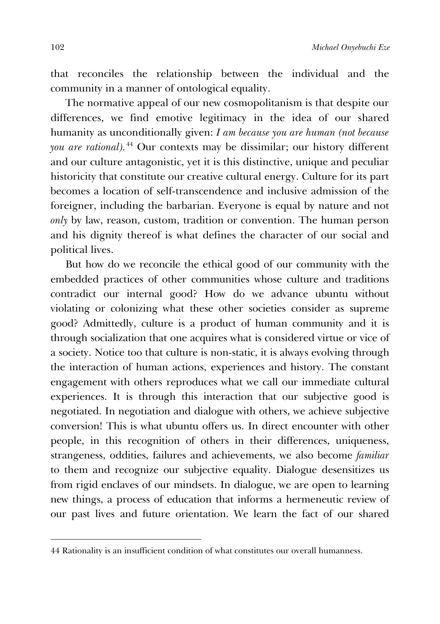that reconciles the relationship between the individual and the community in a manner of ontological equality.

The normative appeal of our new cosmopolitanism is that despite our differences, we find emotive legitimacy in the idea of our shared humanity as unconditionally given: *I am because you are human (not because you are rational).*[44](#page-18-0) Our contexts may be dissimilar; our history different and our culture antagonistic, yet it is this distinctive, unique and peculiar historicity that constitute our creative cultural energy. Culture for its part becomes a location of self-transcendence and inclusive admission of the foreigner, including the barbarian. Everyone is equal by nature and not *only* by law, reason, custom, tradition or convention. The human person and his dignity thereof is what defines the character of our social and political lives.

But how do we reconcile the ethical good of our community with the embedded practices of other communities whose culture and traditions contradict our internal good? How do we advance ubuntu without violating or colonizing what these other societies consider as supreme good? Admittedly, culture is a product of human community and it is through socialization that one acquires what is considered virtue or vice of a society. Notice too that culture is non-static, it is always evolving through the interaction of human actions, experiences and history. The constant engagement with others reproduces what we call our immediate cultural experiences. It is through this interaction that our subjective good is negotiated. In negotiation and dialogue with others, we achieve subjective conversion! This is what ubuntu offers us. In direct encounter with other people, in this recognition of others in their differences, uniqueness, strangeness, oddities, failures and achievements, we also become *familiar*  to them and recognize our subjective equality. Dialogue desensitizes us from rigid enclaves of our mindsets. In dialogue, we are open to learning new things, a process of education that informs a hermeneutic review of our past lives and future orientation. We learn the fact of our shared

<span id="page-18-0"></span><sup>44</sup> Rationality is an insufficient condition of what constitutes our overall humanness.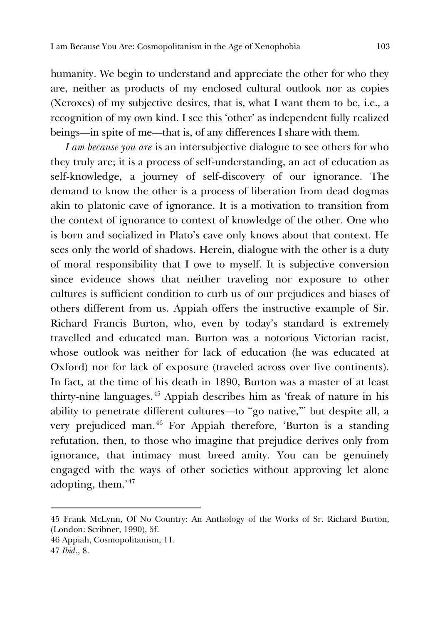humanity. We begin to understand and appreciate the other for who they are, neither as products of my enclosed cultural outlook nor as copies (Xeroxes) of my subjective desires, that is, what I want them to be, i.e., a recognition of my own kind. I see this 'other' as independent fully realized beings—in spite of me—that is, of any differences I share with them.

*I am because you are* is an intersubjective dialogue to see others for who they truly are; it is a process of self-understanding, an act of education as self-knowledge, a journey of self-discovery of our ignorance. The demand to know the other is a process of liberation from dead dogmas akin to platonic cave of ignorance. It is a motivation to transition from the context of ignorance to context of knowledge of the other. One who is born and socialized in Plato's cave only knows about that context. He sees only the world of shadows. Herein, dialogue with the other is a duty of moral responsibility that I owe to myself. It is subjective conversion since evidence shows that neither traveling nor exposure to other cultures is sufficient condition to curb us of our prejudices and biases of others different from us. Appiah offers the instructive example of Sir. Richard Francis Burton, who, even by today's standard is extremely travelled and educated man. Burton was a notorious Victorian racist, whose outlook was neither for lack of education (he was educated at Oxford) nor for lack of exposure (traveled across over five continents). In fact, at the time of his death in 1890, Burton was a master of at least thirty-nine languages.[45](#page-19-0) Appiah describes him as 'freak of nature in his ability to penetrate different cultures—to "go native,"' but despite all, a very prejudiced man.<sup>[46](#page-19-1)</sup> For Appiah therefore, 'Burton is a standing refutation, then, to those who imagine that prejudice derives only from ignorance, that intimacy must breed amity. You can be genuinely engaged with the ways of other societies without approving let alone adopting, them.' [47](#page-19-2)

<span id="page-19-0"></span><sup>45</sup> Frank McLynn, Of No Country: An Anthology of the Works of Sr. Richard Burton, (London: Scribner, 1990), 5f.

<span id="page-19-1"></span><sup>46</sup> Appiah, Cosmopolitanism, 11.

<span id="page-19-2"></span><sup>47</sup> *Ibid*., 8.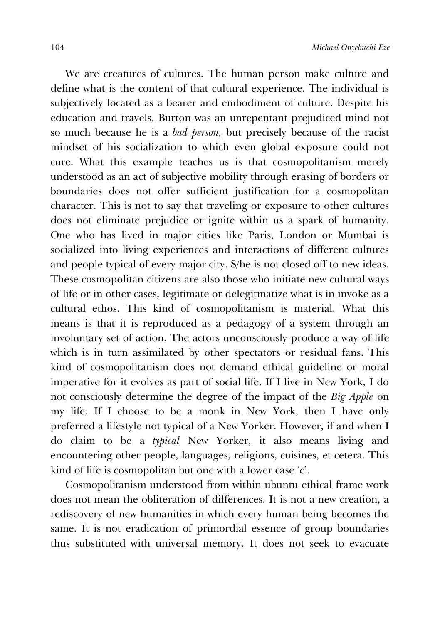We are creatures of cultures. The human person make culture and define what is the content of that cultural experience. The individual is subjectively located as a bearer and embodiment of culture. Despite his education and travels, Burton was an unrepentant prejudiced mind not so much because he is a *bad person,* but precisely because of the racist mindset of his socialization to which even global exposure could not cure. What this example teaches us is that cosmopolitanism merely understood as an act of subjective mobility through erasing of borders or boundaries does not offer sufficient justification for a cosmopolitan character. This is not to say that traveling or exposure to other cultures does not eliminate prejudice or ignite within us a spark of humanity. One who has lived in major cities like Paris, London or Mumbai is socialized into living experiences and interactions of different cultures and people typical of every major city. S/he is not closed off to new ideas. These cosmopolitan citizens are also those who initiate new cultural ways of life or in other cases, legitimate or delegitmatize what is in invoke as a cultural ethos. This kind of cosmopolitanism is material. What this means is that it is reproduced as a pedagogy of a system through an involuntary set of action. The actors unconsciously produce a way of life which is in turn assimilated by other spectators or residual fans. This kind of cosmopolitanism does not demand ethical guideline or moral imperative for it evolves as part of social life. If I live in New York, I do not consciously determine the degree of the impact of the *Big Apple* on my life. If I choose to be a monk in New York, then I have only preferred a lifestyle not typical of a New Yorker. However, if and when I do claim to be a *typical* New Yorker, it also means living and encountering other people, languages, religions, cuisines, et cetera. This kind of life is cosmopolitan but one with a lower case 'c'.

Cosmopolitanism understood from within ubuntu ethical frame work does not mean the obliteration of differences. It is not a new creation, a rediscovery of new humanities in which every human being becomes the same. It is not eradication of primordial essence of group boundaries thus substituted with universal memory. It does not seek to evacuate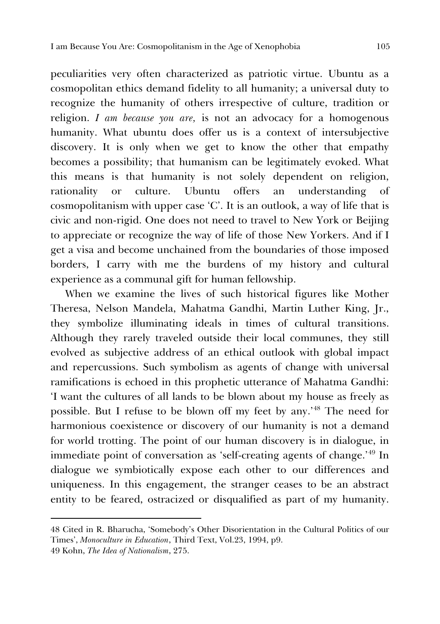peculiarities very often characterized as patriotic virtue. Ubuntu as a cosmopolitan ethics demand fidelity to all humanity; a universal duty to recognize the humanity of others irrespective of culture, tradition or religion. *I am because you are,* is not an advocacy for a homogenous humanity. What ubuntu does offer us is a context of intersubjective discovery. It is only when we get to know the other that empathy becomes a possibility; that humanism can be legitimately evoked. What this means is that humanity is not solely dependent on religion, rationality or culture. Ubuntu offers an understanding of cosmopolitanism with upper case 'C'. It is an outlook, a way of life that is civic and non-rigid. One does not need to travel to New York or Beijing to appreciate or recognize the way of life of those New Yorkers. And if I get a visa and become unchained from the boundaries of those imposed borders, I carry with me the burdens of my history and cultural experience as a communal gift for human fellowship.

When we examine the lives of such historical figures like Mother Theresa, Nelson Mandela, Mahatma Gandhi, Martin Luther King, Jr., they symbolize illuminating ideals in times of cultural transitions. Although they rarely traveled outside their local communes, they still evolved as subjective address of an ethical outlook with global impact and repercussions. Such symbolism as agents of change with universal ramifications is echoed in this prophetic utterance of Mahatma Gandhi: 'I want the cultures of all lands to be blown about my house as freely as possible. But I refuse to be blown off my feet by any.'<sup>[48](#page-21-0)</sup> The need for harmonious coexistence or discovery of our humanity is not a demand for world trotting. The point of our human discovery is in dialogue, in immediate point of conversation as 'self-creating agents of change.' [49](#page-21-1) In dialogue we symbiotically expose each other to our differences and uniqueness. In this engagement, the stranger ceases to be an abstract entity to be feared, ostracized or disqualified as part of my humanity.

<span id="page-21-0"></span><sup>48</sup> Cited in R. Bharucha, 'Somebody's Other Disorientation in the Cultural Politics of our Times', *Monoculture in Education*, Third Text, Vol.23, 1994, p9.

<span id="page-21-1"></span><sup>49</sup> Kohn, *The Idea of Nationalism*, 275.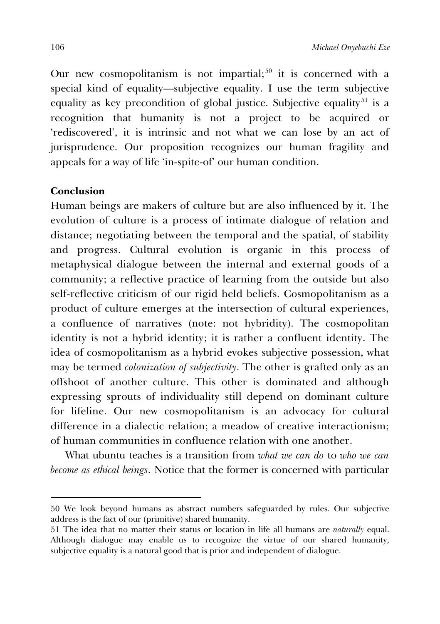Our new cosmopolitanism is not impartial;<sup>[50](#page-22-0)</sup> it is concerned with a special kind of equality—subjective equality. I use the term subjective equality as key precondition of global justice. Subjective equality<sup>[51](#page-22-1)</sup> is a recognition that humanity is not a project to be acquired or 'rediscovered', it is intrinsic and not what we can lose by an act of jurisprudence. Our proposition recognizes our human fragility and appeals for a way of life 'in-spite-of' our human condition.

## **Conclusion**

j

Human beings are makers of culture but are also influenced by it. The evolution of culture is a process of intimate dialogue of relation and distance; negotiating between the temporal and the spatial, of stability and progress. Cultural evolution is organic in this process of metaphysical dialogue between the internal and external goods of a community; a reflective practice of learning from the outside but also self-reflective criticism of our rigid held beliefs. Cosmopolitanism as a product of culture emerges at the intersection of cultural experiences, a confluence of narratives (note: not hybridity). The cosmopolitan identity is not a hybrid identity; it is rather a confluent identity. The idea of cosmopolitanism as a hybrid evokes subjective possession, what may be termed *colonization of subjectivity*. The other is grafted only as an offshoot of another culture. This other is dominated and although expressing sprouts of individuality still depend on dominant culture for lifeline. Our new cosmopolitanism is an advocacy for cultural difference in a dialectic relation; a meadow of creative interactionism; of human communities in confluence relation with one another.

What ubuntu teaches is a transition from *what we can do* to *who we can become as ethical beings*. Notice that the former is concerned with particular

<span id="page-22-0"></span><sup>50</sup> We look beyond humans as abstract numbers safeguarded by rules. Our subjective address is the fact of our (primitive) shared humanity.

<span id="page-22-1"></span><sup>51</sup> The idea that no matter their status or location in life all humans are *naturally* equal. Although dialogue may enable us to recognize the virtue of our shared humanity, subjective equality is a natural good that is prior and independent of dialogue.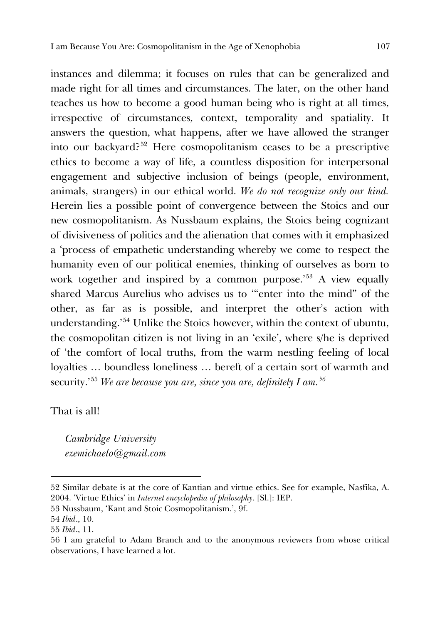instances and dilemma; it focuses on rules that can be generalized and made right for all times and circumstances. The later, on the other hand teaches us how to become a good human being who is right at all times, irrespective of circumstances, context, temporality and spatiality. It answers the question, what happens, after we have allowed the stranger into our backyard?[52](#page-23-0) Here cosmopolitanism ceases to be a prescriptive ethics to become a way of life, a countless disposition for interpersonal engagement and subjective inclusion of beings (people, environment, animals, strangers) in our ethical world. *We do not recognize only our kind.*  Herein lies a possible point of convergence between the Stoics and our new cosmopolitanism. As Nussbaum explains, the Stoics being cognizant of divisiveness of politics and the alienation that comes with it emphasized a 'process of empathetic understanding whereby we come to respect the humanity even of our political enemies, thinking of ourselves as born to work together and inspired by a common purpose.' [53](#page-23-1) A view equally shared Marcus Aurelius who advises us to '"enter into the mind" of the other, as far as is possible, and interpret the other's action with understanding.' [54](#page-23-2) Unlike the Stoics however, within the context of ubuntu, the cosmopolitan citizen is not living in an 'exile', where s/he is deprived of 'the comfort of local truths, from the warm nestling feeling of local loyalties … boundless loneliness … bereft of a certain sort of warmth and security.' [55](#page-23-3) *We are because you are, since you are, definitely I am.[56](#page-23-4)*

## That is all!

*Cambridge University ezemichaelo@gmail.com*

<span id="page-23-0"></span><sup>52</sup> Similar debate is at the core of Kantian and virtue ethics. See for example, Nasfika, A. 2004. 'Virtue Ethics' in *Internet encyclopedia of philosophy*. [Sl.]: IEP.

<span id="page-23-1"></span><sup>53</sup> Nussbaum, 'Kant and Stoic Cosmopolitanism.', 9f.

<span id="page-23-2"></span><sup>54</sup> *Ibid*., 10.

<span id="page-23-3"></span><sup>55</sup> *Ibid*., 11.

<span id="page-23-4"></span><sup>56</sup> I am grateful to Adam Branch and to the anonymous reviewers from whose critical observations, I have learned a lot.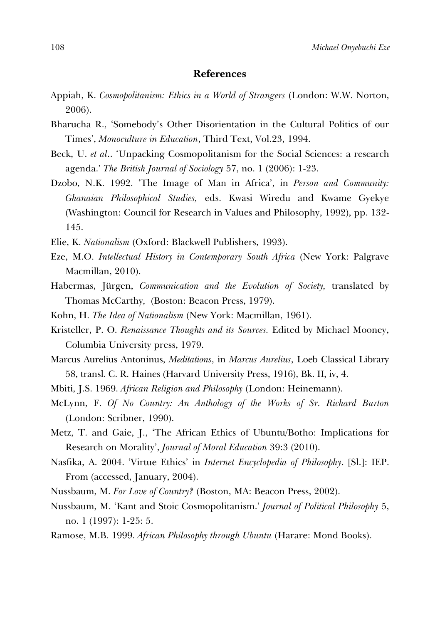### **References**

- Appiah, K. *Cosmopolitanism: Ethics in a World of Strangers* (London: W.W. Norton, 2006).
- Bharucha R., 'Somebody's Other Disorientation in the Cultural Politics of our Times', *Monoculture in Education*, Third Text, Vol.23, 1994.
- Beck, U. *et al*.. 'Unpacking Cosmopolitanism for the Social Sciences: a research agenda.' *The British Journal of Sociology* 57, no. 1 (2006): 1-23.
- Dzobo, N.K. 1992. 'The Image of Man in Africa', in *Person and Community: Ghanaian Philosophical Studies,* eds. Kwasi Wiredu and Kwame Gyekye (Washington: Council for Research in Values and Philosophy, 1992), pp. 132- 145.
- Elie, K. *Nationalism* (Oxford: Blackwell Publishers, 1993).
- Eze, M.O. *Intellectual History in Contemporary South Africa* (New York: Palgrave Macmillan, 2010).
- Habermas, Jürgen, *Communication and the Evolution of Society,* translated by Thomas McCarthy*,* (Boston: Beacon Press, 1979).
- Kohn, H. *The Idea of Nationalism* (New York: Macmillan, 1961).
- Kristeller, P. O. *Renaissance Thoughts and its Sources.* Edited by Michael Mooney, Columbia University press, 1979.
- Marcus Aurelius Antoninus, *Meditations*, in *Marcus Aurelius*, Loeb Classical Library 58, transl. C. R. Haines (Harvard University Press, 1916), Bk. II, iv, 4.
- Mbiti, J.S. 1969. *African Religion and Philosophy* (London: Heinemann).
- McLynn, F. *Of No Country: An Anthology of the Works of Sr. Richard Burton* (London: Scribner, 1990).
- Metz, T. and Gaie, J., 'The African Ethics of Ubuntu/Botho: Implications for Research on Morality', *Journal of Moral Education* 39:3 (2010).
- Nasfika, A. 2004. 'Virtue Ethics' in *Internet Encyclopedia of Philosophy*. [Sl.]: IEP. From (accessed, January, 2004).
- Nussbaum, M. *For Love of Country?* (Boston, MA: Beacon Press, 2002).
- Nussbaum, M. 'Kant and Stoic Cosmopolitanism.' *Journal of Political Philosophy* 5, no. 1 (1997): 1-25: 5.
- Ramose, M.B. 1999. *African Philosophy through Ubuntu* (Harare: Mond Books).